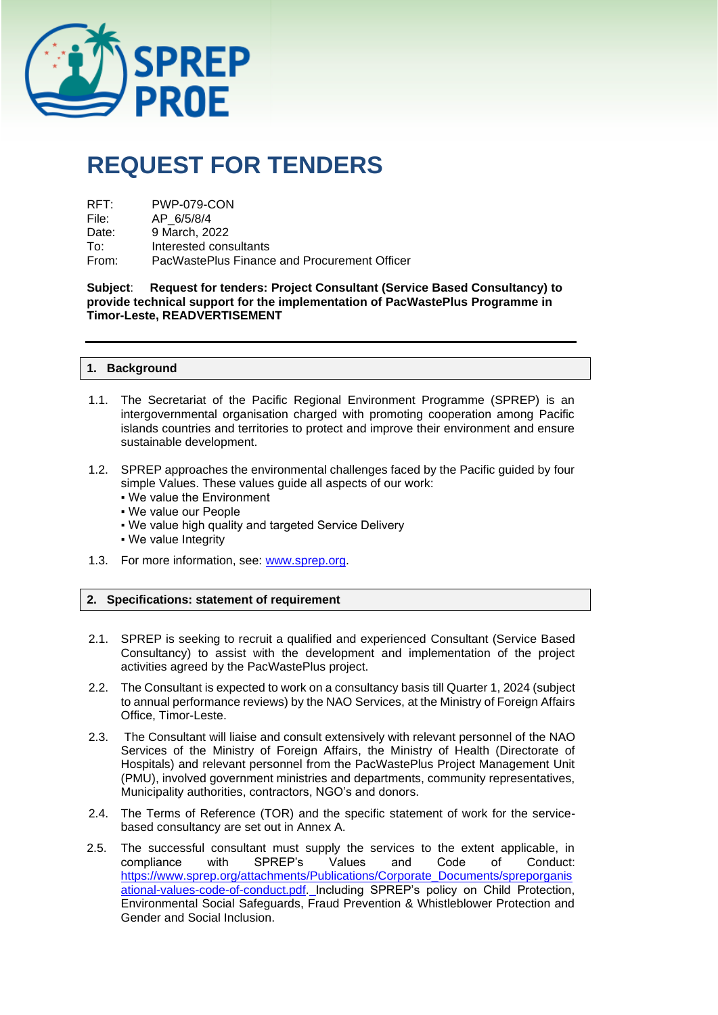

# **REQUEST FOR TENDERS**

| RFT:  | <b>PWP-079-CON</b>                           |
|-------|----------------------------------------------|
| File: | AP 6/5/8/4                                   |
| Date: | 9 March, 2022                                |
| To∶   | Interested consultants                       |
| From: | PacWastePlus Finance and Procurement Officer |

**Subject**: **Request for tenders: Project Consultant (Service Based Consultancy) to provide technical support for the implementation of PacWastePlus Programme in Timor-Leste, READVERTISEMENT**

# **1. Background**

- 1.1. The Secretariat of the Pacific Regional Environment Programme (SPREP) is an intergovernmental organisation charged with promoting cooperation among Pacific islands countries and territories to protect and improve their environment and ensure sustainable development.
- 1.2. SPREP approaches the environmental challenges faced by the Pacific guided by four simple Values. These values guide all aspects of our work:
	- We value the Environment
	- We value our People
	- . We value high quality and targeted Service Delivery
	- We value Integrity
- 1.3. For more information, see: [www.sprep.org.](http://www.sprep.org/)

# **2. Specifications: statement of requirement**

- 2.1. SPREP is seeking to recruit a qualified and experienced Consultant (Service Based Consultancy) to assist with the development and implementation of the project activities agreed by the PacWastePlus project.
- 2.2. The Consultant is expected to work on a consultancy basis till Quarter 1, 2024 (subject to annual performance reviews) by the NAO Services, at the Ministry of Foreign Affairs Office, Timor-Leste.
- 2.3. The Consultant will liaise and consult extensively with relevant personnel of the NAO Services of the Ministry of Foreign Affairs, the Ministry of Health (Directorate of Hospitals) and relevant personnel from the PacWastePlus Project Management Unit (PMU), involved government ministries and departments, community representatives, Municipality authorities, contractors, NGO's and donors.
- 2.4. The Terms of Reference (TOR) and the specific statement of work for the servicebased consultancy are set out in Annex A.
- 2.5. The successful consultant must supply the services to the extent applicable, in compliance with SPREP's Values and Code of Conduct: [https://www.sprep.org/attachments/Publications/Corporate\\_Documents/spreporganis](https://www.sprep.org/attachments/Publications/Corporate_Documents/spreporganisational-values-code-of-conduct.pdf) [ational-values-code-of-conduct.pdf.](https://www.sprep.org/attachments/Publications/Corporate_Documents/spreporganisational-values-code-of-conduct.pdf) Including SPREP's policy on Child Protection, Environmental Social Safeguards, Fraud Prevention & Whistleblower Protection and Gender and Social Inclusion.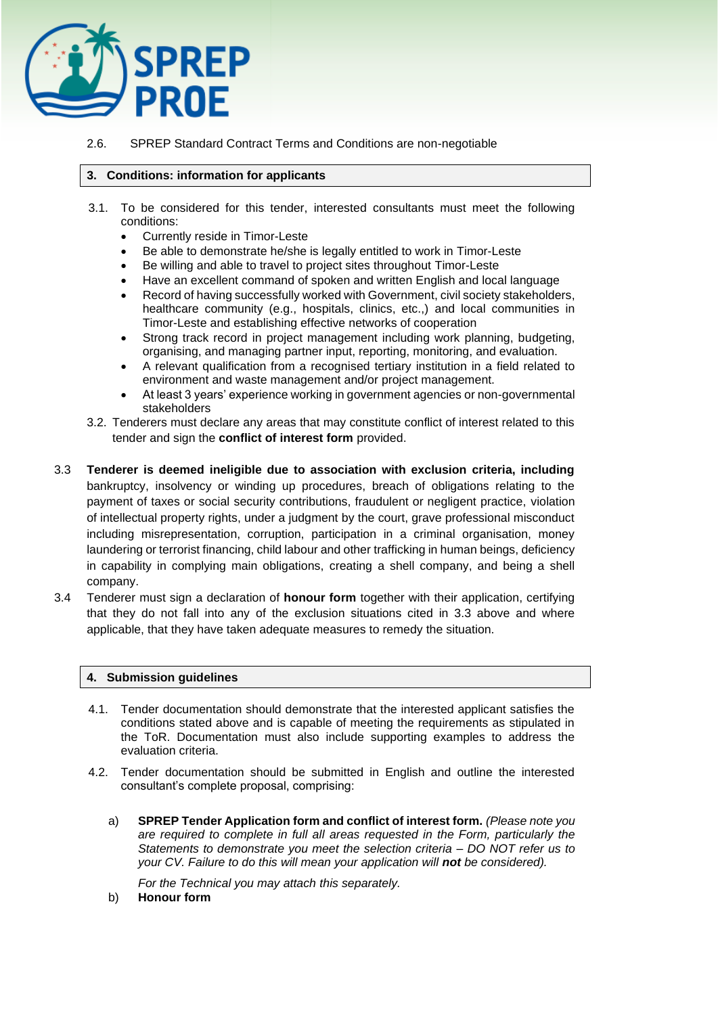

# 2.6. SPREP Standard Contract Terms and Conditions are non-negotiable

# **3. Conditions: information for applicants**

- 3.1. To be considered for this tender, interested consultants must meet the following conditions:
	- Currently reside in Timor-Leste
	- Be able to demonstrate he/she is legally entitled to work in Timor-Leste
	- Be willing and able to travel to project sites throughout Timor-Leste
	- Have an excellent command of spoken and written English and local language
	- Record of having successfully worked with Government, civil society stakeholders, healthcare community (e.g., hospitals, clinics, etc.,) and local communities in Timor-Leste and establishing effective networks of cooperation
	- Strong track record in project management including work planning, budgeting, organising, and managing partner input, reporting, monitoring, and evaluation.
	- A relevant qualification from a recognised tertiary institution in a field related to environment and waste management and/or project management.
	- At least 3 years' experience working in government agencies or non-governmental stakeholders
- 3.2. Tenderers must declare any areas that may constitute conflict of interest related to this tender and sign the **conflict of interest form** provided.
- 3.3 **Tenderer is deemed ineligible due to association with exclusion criteria, including**  bankruptcy, insolvency or winding up procedures, breach of obligations relating to the payment of taxes or social security contributions, fraudulent or negligent practice, violation of intellectual property rights, under a judgment by the court, grave professional misconduct including misrepresentation, corruption, participation in a criminal organisation, money laundering or terrorist financing, child labour and other trafficking in human beings, deficiency in capability in complying main obligations, creating a shell company, and being a shell company.
- 3.4 Tenderer must sign a declaration of **honour form** together with their application, certifying that they do not fall into any of the exclusion situations cited in 3.3 above and where applicable, that they have taken adequate measures to remedy the situation.

## **4. Submission guidelines**

- 4.1. Tender documentation should demonstrate that the interested applicant satisfies the conditions stated above and is capable of meeting the requirements as stipulated in the ToR. Documentation must also include supporting examples to address the evaluation criteria.
- 4.2. Tender documentation should be submitted in English and outline the interested consultant's complete proposal, comprising:
	- a) **SPREP Tender Application form and conflict of interest form.** *(Please note you are required to complete in full all areas requested in the Form, particularly the Statements to demonstrate you meet the selection criteria – DO NOT refer us to your CV. Failure to do this will mean your application will not be considered).*

*For the Technical you may attach this separately.* 

b) **Honour form**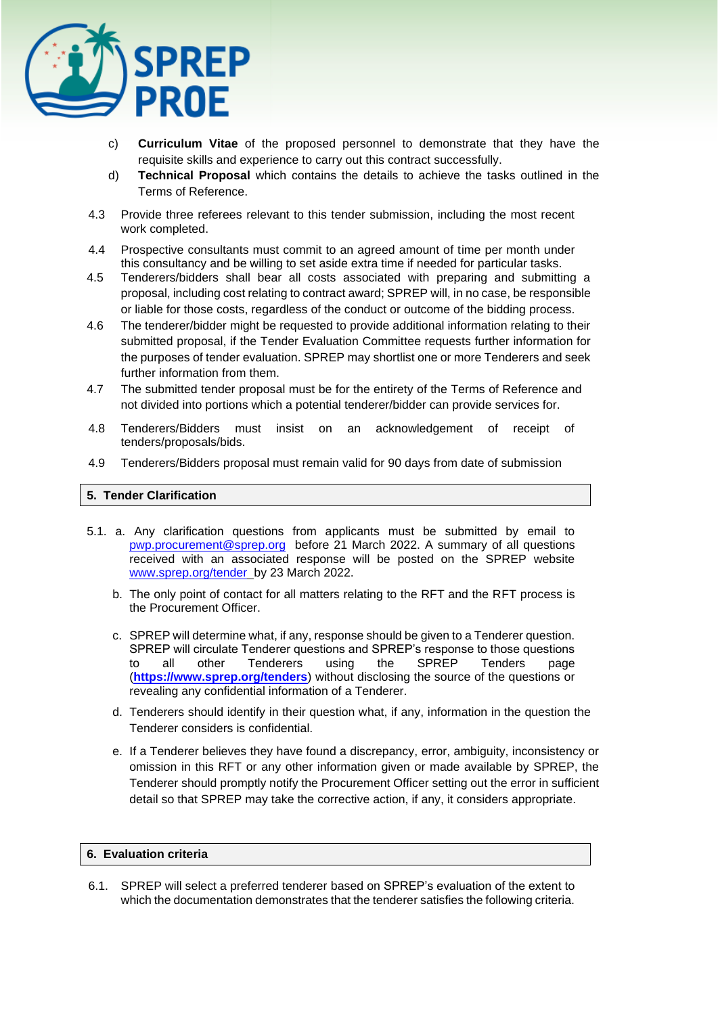

- c) **Curriculum Vitae** of the proposed personnel to demonstrate that they have the requisite skills and experience to carry out this contract successfully.
- d) **Technical Proposal** which contains the details to achieve the tasks outlined in the Terms of Reference.
- 4.3 Provide three referees relevant to this tender submission, including the most recent work completed.
- 4.4 Prospective consultants must commit to an agreed amount of time per month under this consultancy and be willing to set aside extra time if needed for particular tasks.
- 4.5 Tenderers/bidders shall bear all costs associated with preparing and submitting a proposal, including cost relating to contract award; SPREP will, in no case, be responsible or liable for those costs, regardless of the conduct or outcome of the bidding process.
- 4.6 The tenderer/bidder might be requested to provide additional information relating to their submitted proposal, if the Tender Evaluation Committee requests further information for the purposes of tender evaluation. SPREP may shortlist one or more Tenderers and seek further information from them.
- 4.7 The submitted tender proposal must be for the entirety of the Terms of Reference and not divided into portions which a potential tenderer/bidder can provide services for.
- 4.8 Tenderers/Bidders must insist on an acknowledgement of receipt of tenders/proposals/bids.
- 4.9 Tenderers/Bidders proposal must remain valid for 90 days from date of submission

# **5. Tender Clarification**

- 5.1. a. Any clarification questions from applicants must be submitted by email to [pwp.procurement@sprep.org](mailto:pwp.procurement@sprep.org) before 21 March 2022. A summary of all questions received with an associated response will be posted on the SPREP website www.sprep.org/tender\_by 23 March 2022.
	- b. The only point of contact for all matters relating to the RFT and the RFT process is the Procurement Officer.
	- c. SPREP will determine what, if any, response should be given to a Tenderer question. SPREP will circulate Tenderer questions and SPREP's response to those questions to all other Tenderers using the SPREP Tenders page (**<https://www.sprep.org/tenders>**) without disclosing the source of the questions or revealing any confidential information of a Tenderer.
	- d. Tenderers should identify in their question what, if any, information in the question the Tenderer considers is confidential.
	- e. If a Tenderer believes they have found a discrepancy, error, ambiguity, inconsistency or omission in this RFT or any other information given or made available by SPREP, the Tenderer should promptly notify the Procurement Officer setting out the error in sufficient detail so that SPREP may take the corrective action, if any, it considers appropriate.

# **6. Evaluation criteria**

6.1. SPREP will select a preferred tenderer based on SPREP's evaluation of the extent to which the documentation demonstrates that the tenderer satisfies the following criteria.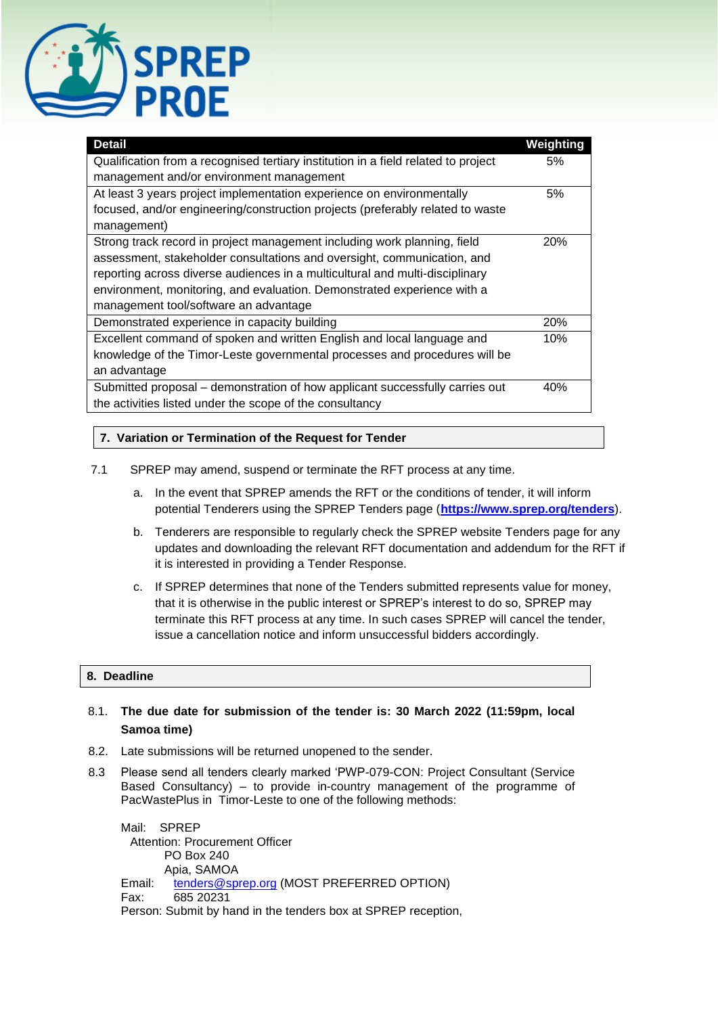

| <b>Detail</b>                                                                      | Weighting  |
|------------------------------------------------------------------------------------|------------|
| Qualification from a recognised tertiary institution in a field related to project |            |
| management and/or environment management                                           |            |
| At least 3 years project implementation experience on environmentally              | 5%         |
| focused, and/or engineering/construction projects (preferably related to waste     |            |
| management)                                                                        |            |
| Strong track record in project management including work planning, field           | <b>20%</b> |
| assessment, stakeholder consultations and oversight, communication, and            |            |
| reporting across diverse audiences in a multicultural and multi-disciplinary       |            |
| environment, monitoring, and evaluation. Demonstrated experience with a            |            |
| management tool/software an advantage                                              |            |
| Demonstrated experience in capacity building                                       | 20%        |
| Excellent command of spoken and written English and local language and             | 10%        |
| knowledge of the Timor-Leste governmental processes and procedures will be         |            |
| an advantage                                                                       |            |
| Submitted proposal – demonstration of how applicant successfully carries out       | 40%        |
| the activities listed under the scope of the consultancy                           |            |

# **7. Variation or Termination of the Request for Tender**

- 7.1 SPREP may amend, suspend or terminate the RFT process at any time.
	- a. In the event that SPREP amends the RFT or the conditions of tender, it will inform potential Tenderers using the SPREP Tenders page (**<https://www.sprep.org/tenders>**).
	- b. Tenderers are responsible to regularly check the SPREP website Tenders page for any updates and downloading the relevant RFT documentation and addendum for the RFT if it is interested in providing a Tender Response.
	- c. If SPREP determines that none of the Tenders submitted represents value for money, that it is otherwise in the public interest or SPREP's interest to do so, SPREP may terminate this RFT process at any time. In such cases SPREP will cancel the tender, issue a cancellation notice and inform unsuccessful bidders accordingly.

# **8. Deadline**

# 8.1. **The due date for submission of the tender is: 30 March 2022 (11:59pm, local Samoa time)**

- 8.2. Late submissions will be returned unopened to the sender.
- 8.3 Please send all tenders clearly marked 'PWP-079-CON: Project Consultant (Service Based Consultancy) – to provide in-country management of the programme of PacWastePlus in Timor-Leste to one of the following methods:

Mail: SPREP Attention: Procurement Officer PO Box 240 Apia, SAMOA Email: [tenders@sprep.org](mailto:tenders@sprep.org) (MOST PREFERRED OPTION) Fax: 685 20231 Person: Submit by hand in the tenders box at SPREP reception,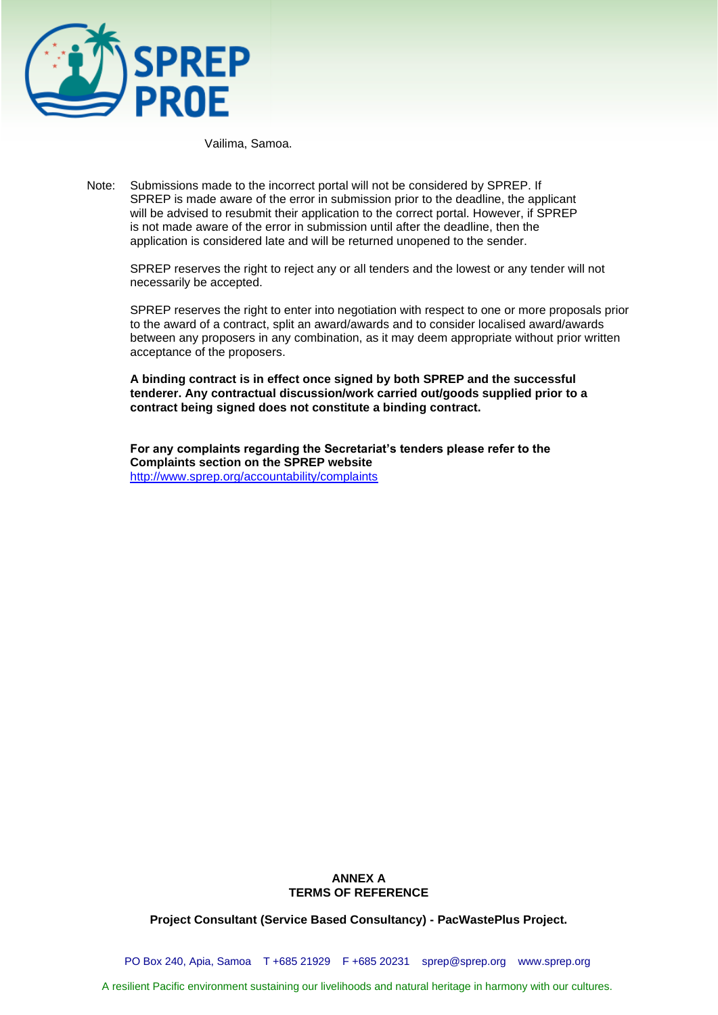

Vailima, Samoa.

Note: Submissions made to the incorrect portal will not be considered by SPREP. If SPREP is made aware of the error in submission prior to the deadline, the applicant will be advised to resubmit their application to the correct portal. However, if SPREP is not made aware of the error in submission until after the deadline, then the application is considered late and will be returned unopened to the sender.

SPREP reserves the right to reject any or all tenders and the lowest or any tender will not necessarily be accepted.

SPREP reserves the right to enter into negotiation with respect to one or more proposals prior to the award of a contract, split an award/awards and to consider localised award/awards between any proposers in any combination, as it may deem appropriate without prior written acceptance of the proposers.

**A binding contract is in effect once signed by both SPREP and the successful tenderer. Any contractual discussion/work carried out/goods supplied prior to a contract being signed does not constitute a binding contract.** 

**For any complaints regarding the Secretariat's tenders please refer to the Complaints section on the SPREP website**  <http://www.sprep.org/accountability/complaints>

## **ANNEX A TERMS OF REFERENCE**

**Project Consultant (Service Based Consultancy) - PacWastePlus Project.**

PO Box 240, Apia, Samoa T +685 21929 F +685 20231 [sprep@sprep.org](mailto:sprep@sprep.org) [www.sprep.org](http://www.sprep.org/)

A resilient Pacific environment sustaining our livelihoods and natural heritage in harmony with our cultures.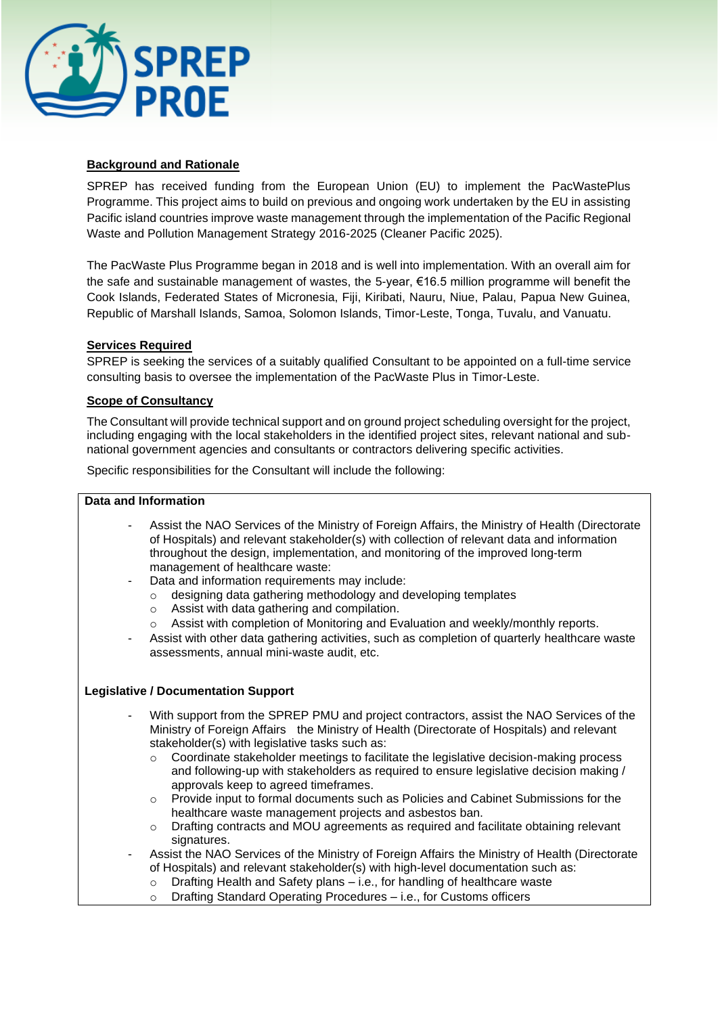

# **Background and Rationale**

SPREP has received funding from the European Union (EU) to implement the PacWastePlus Programme. This project aims to build on previous and ongoing work undertaken by the EU in assisting Pacific island countries improve waste management through the implementation of the Pacific Regional Waste and Pollution Management Strategy 2016-2025 (Cleaner Pacific 2025).

The PacWaste Plus Programme began in 2018 and is well into implementation. With an overall aim for the safe and sustainable management of wastes, the 5-year, €16.5 million programme will benefit the Cook Islands, Federated States of Micronesia, Fiji, Kiribati, Nauru, Niue, Palau, Papua New Guinea, Republic of Marshall Islands, Samoa, Solomon Islands, Timor-Leste, Tonga, Tuvalu, and Vanuatu.

# **Services Required**

SPREP is seeking the services of a suitably qualified Consultant to be appointed on a full-time service consulting basis to oversee the implementation of the PacWaste Plus in Timor-Leste.

# **Scope of Consultancy**

The Consultant will provide technical support and on ground project scheduling oversight for the project, including engaging with the local stakeholders in the identified project sites, relevant national and subnational government agencies and consultants or contractors delivering specific activities.

Specific responsibilities for the Consultant will include the following:

## **Data and Information**

- Assist the NAO Services of the Ministry of Foreign Affairs, the Ministry of Health (Directorate of Hospitals) and relevant stakeholder(s) with collection of relevant data and information throughout the design, implementation, and monitoring of the improved long-term management of healthcare waste:
- Data and information requirements may include:
	- o designing data gathering methodology and developing templates
	- o Assist with data gathering and compilation.
	- o Assist with completion of Monitoring and Evaluation and weekly/monthly reports.
- Assist with other data gathering activities, such as completion of quarterly healthcare waste assessments, annual mini-waste audit, etc.

# **Legislative / Documentation Support**

- With support from the SPREP PMU and project contractors, assist the NAO Services of the Ministry of Foreign Affairs the Ministry of Health (Directorate of Hospitals) and relevant stakeholder(s) with legislative tasks such as:
	- o Coordinate stakeholder meetings to facilitate the legislative decision-making process and following-up with stakeholders as required to ensure legislative decision making / approvals keep to agreed timeframes.
	- o Provide input to formal documents such as Policies and Cabinet Submissions for the healthcare waste management projects and asbestos ban.
	- o Drafting contracts and MOU agreements as required and facilitate obtaining relevant signatures.
- Assist the NAO Services of the Ministry of Foreign Affairs the Ministry of Health (Directorate of Hospitals) and relevant stakeholder(s) with high-level documentation such as:
	- o Drafting Health and Safety plans i.e., for handling of healthcare waste
	- o Drafting Standard Operating Procedures i.e., for Customs officers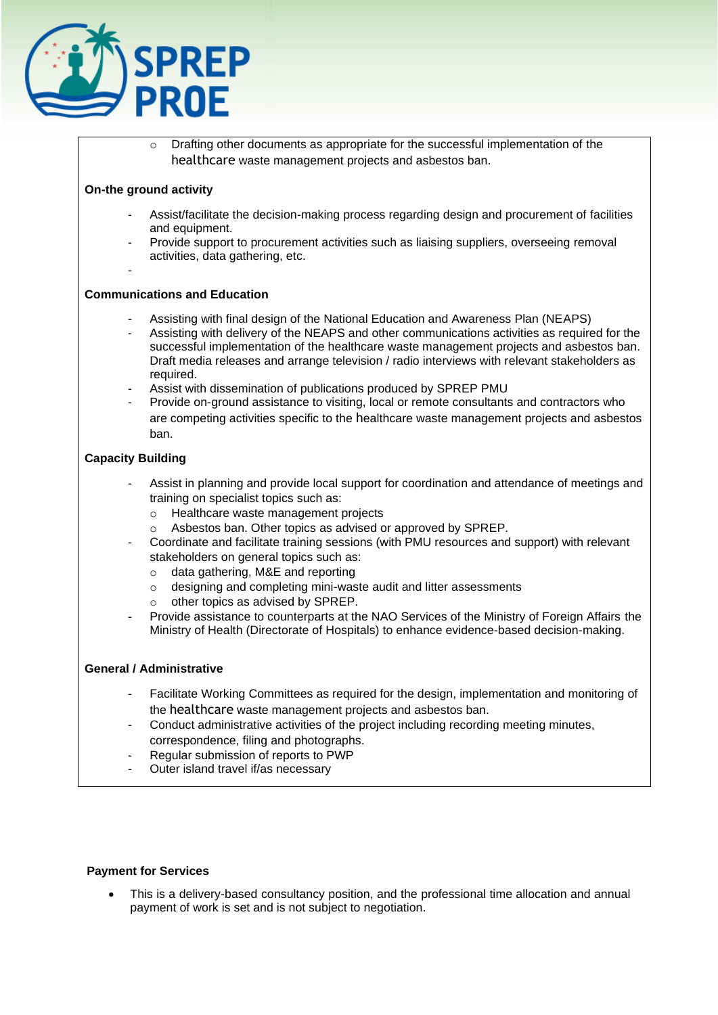

 $\circ$  Drafting other documents as appropriate for the successful implementation of the healthcare waste management projects and asbestos ban.

# **On-the ground activity**

-

- Assist/facilitate the decision-making process regarding design and procurement of facilities and equipment.
- Provide support to procurement activities such as liaising suppliers, overseeing removal activities, data gathering, etc.

## **Communications and Education**

- Assisting with final design of the National Education and Awareness Plan (NEAPS)
- Assisting with delivery of the NEAPS and other communications activities as required for the successful implementation of the healthcare waste management projects and asbestos ban. Draft media releases and arrange television / radio interviews with relevant stakeholders as required.
- Assist with dissemination of publications produced by SPREP PMU
- Provide on-ground assistance to visiting, local or remote consultants and contractors who are competing activities specific to the healthcare waste management projects and asbestos ban.

# **Capacity Building**

- Assist in planning and provide local support for coordination and attendance of meetings and training on specialist topics such as:
	- o Healthcare waste management projects
	- o Asbestos ban. Other topics as advised or approved by SPREP.
	- Coordinate and facilitate training sessions (with PMU resources and support) with relevant stakeholders on general topics such as:
		- o data gathering, M&E and reporting
		- o designing and completing mini-waste audit and litter assessments
		- o other topics as advised by SPREP.
- Provide assistance to counterparts at the NAO Services of the Ministry of Foreign Affairs the Ministry of Health (Directorate of Hospitals) to enhance evidence-based decision-making.

## **General / Administrative**

- Facilitate Working Committees as required for the design, implementation and monitoring of the healthcare waste management projects and asbestos ban.
- Conduct administrative activities of the project including recording meeting minutes, correspondence, filing and photographs.
- Regular submission of reports to PWP
- Outer island travel if/as necessary

## **Payment for Services**

• This is a delivery-based consultancy position, and the professional time allocation and annual payment of work is set and is not subject to negotiation.